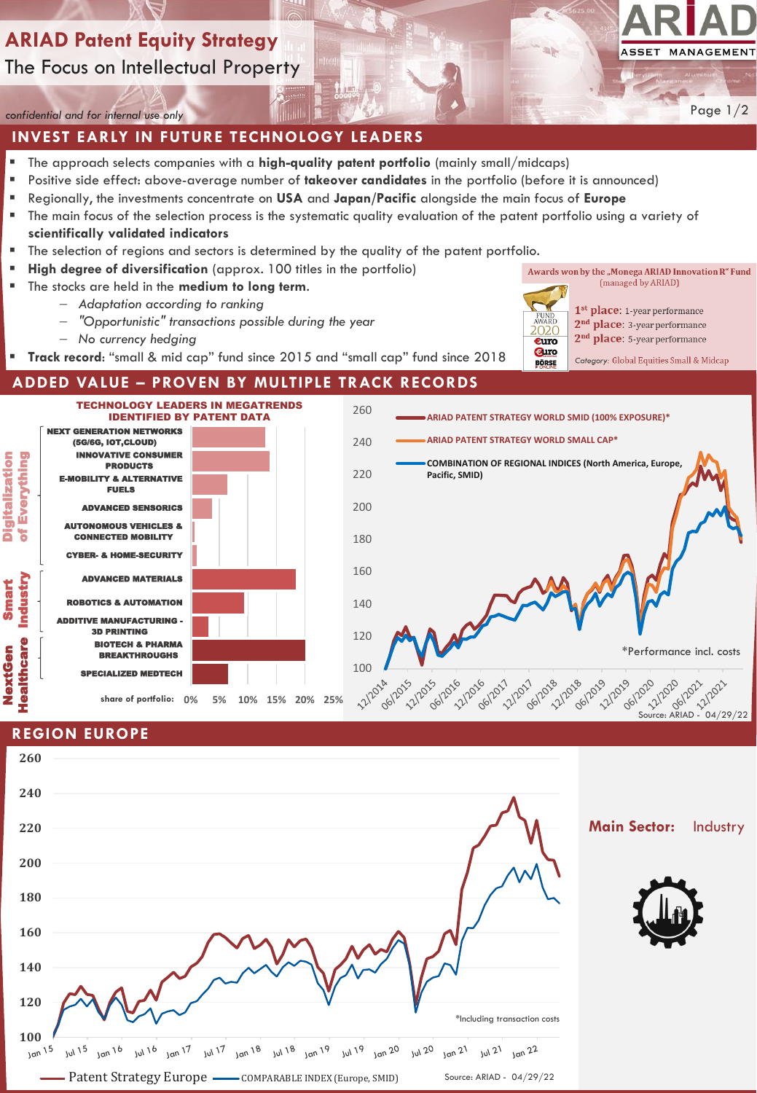# **ARIAD Patent Equity Strategy** The Focus on Intellectual Property



Page 1/2

*confidential and for internal use only*

## **INVEST EARLY IN FUTURE TECHNOLOGY LEADERS**

- The approach selects companies with a **high-quality patent portfolio** (mainly small/midcaps)
- Positive side effect: above-average number of **takeover candidates** in the portfolio (before it is announced)
- Regionally, the investments concentrate on **USA** and **Japan/Pacific** alongside the main focus of **Europe**
- The main focus of the selection process is the systematic quality evaluation of the patent portfolio using a variety of **scientifically validated indicators**
- The selection of regions and sectors is determined by the quality of the patent portfolio.
- **High degree of diversification** (approx. 100 titles in the portfolio)
- The stocks are held in the **medium to long term**.
	- − *Adaptation according to ranking*
	- − *"Opportunistic" transactions possible during the year*
	- − *No currency hedging*
	- **Track record**: "small & mid cap" fund since 2015 and "small cap" fund since 2018

**ADDED VALUE – PROVEN BY MULTIPLE TRACK RECORDS**

(managed by ARIAD) 1<sup>st</sup> place: 1-year performance

Awards won by the "Monega ARIAD Innovation R" Fund

2<sup>nd</sup> place: 3-year performance 2<sup>nd</sup> place: 5-year performance

2020

€uro *<u>auro</u>* 

**BÖRSE** 

- 
- Category: Global Equities Small & Midcap



## **REGION EUROPE**